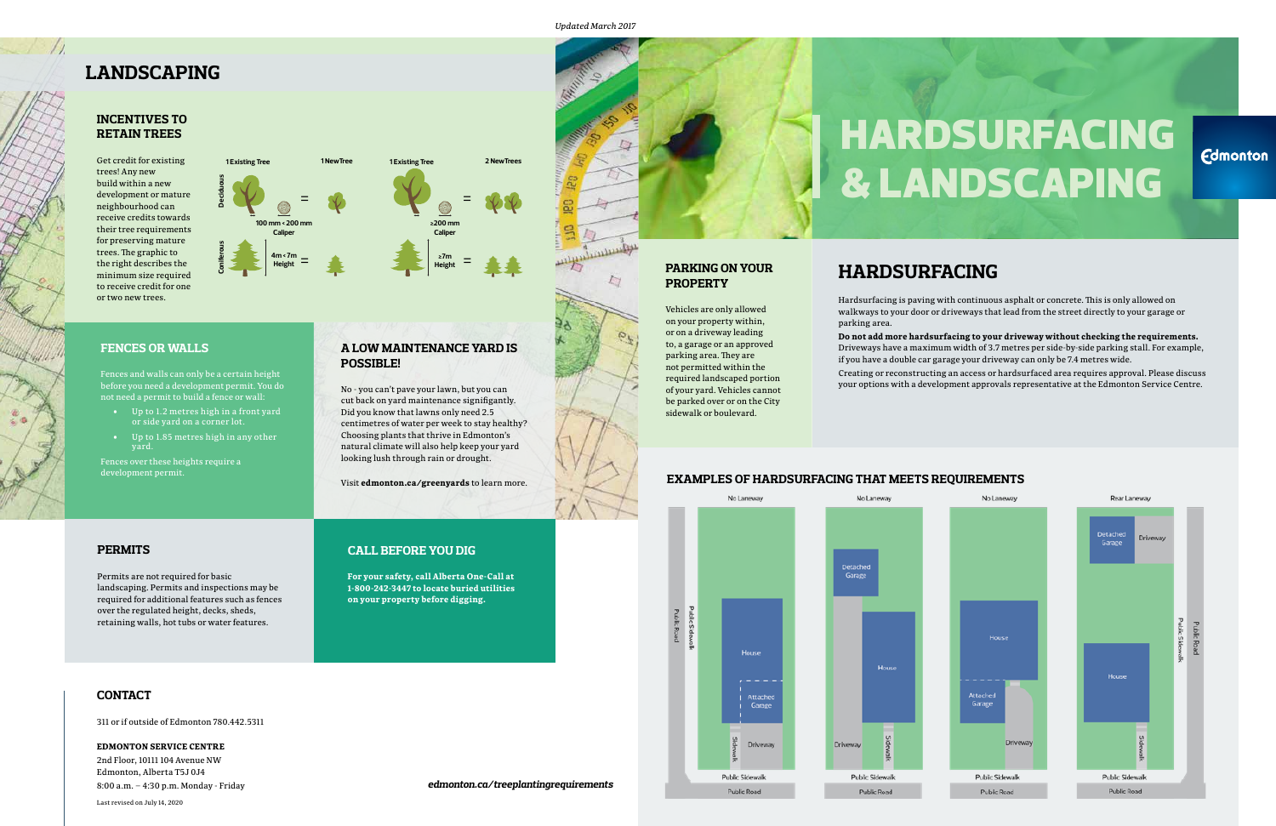#### **PERMITS**

Permits are not required for basic landscaping. Permits and inspections may be required for additional features such as fences over the regulated height, decks, sheds, retaining walls, hot tubs or water features.

#### **CONTACT**

311 or if outside of Edmonton 780.442.5311

**EDMONTON SERVICE CENTRE** 2nd Floor, 10111 104 Avenue NW

Edmonton, Alberta T5J 0J4 8:00 a.m. – 4:30 p.m. Monday - Friday

Last revised on July 14, 2020

#### **EXAMPLES OF HARDSURFACING THAT MEETS REQUIREMENTS**



#### **PARKING ON YOUR PROPERTY**

Vehicles are only allowed on your property within, or on a driveway leading to, a garage or an approved parking area. They are not permitted within the required landscaped portion of your yard. Vehicles cannot be parked over or on the City sidewalk or boulevard.

#### **FENCES OR WALLS**

Fences and walls can only be a certain height before you need a development permit. You do not need a permit to build a fence or wall:

- Up to 1.2 metres high in a front yard or side yard on a corner lot.
- Up to 1.85 metres high in any other yard.

Fences over these heights require a development permit.

# HARDSURFACING & LANDSCAPING

**Edmonton** 

### **HARDSURFACING**

Hardsurfacing is paving with continuous asphalt or concrete. This is only allowed on walkways to your door or driveways that lead from the street directly to your garage or

parking area.

**Do not add more hardsurfacing to your driveway without checking the requirements.** Driveways have a maximum width of 3.7 metres per side-by-side parking stall. For example, if you have a double car garage your driveway can only be 7.4 metres wide.

Creating or reconstructing an access or hardsurfaced area requires approval. Please discuss your options with a development approvals representative at the Edmonton Service Centre.





#### **INCENTIVES TO RETAIN TREES**

Get credit for existing trees! Any new build within a new development or mature neighbourhood can receive credits towards their tree requirements for preserving mature trees. The graphic to the right describes the minimum size required to receive credit for one or two new trees.



#### **A LOW MAINTENANCE YARD IS POSSIBLE!**

No - you can't pave your lawn, but you can cut back on yard maintenance signifigantly. Did you know that lawns only need 2.5 centimetres of water per week to stay healthy? Choosing plants that thrive in Edmonton's natural climate will also help keep your yard looking lush through rain or drought.

Visit **edmonton.ca/greenyards** to learn more.



#### **CALL BEFORE YOU DIG**

**For your safety, call Alberta One-Call at 1-800-242-3447 to locate buried utilities on your property before digging.**

## **LANDSCAPING**

*Updated March 2017*